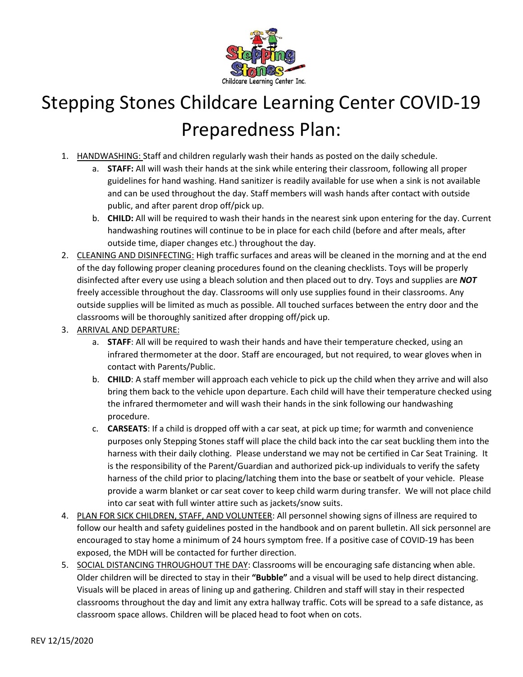

## Stepping Stones Childcare Learning Center COVID-19 Preparedness Plan:

- 1. HANDWASHING: Staff and children regularly wash their hands as posted on the daily schedule.
	- a. **STAFF:** All will wash their hands at the sink while entering their classroom, following all proper guidelines for hand washing. Hand sanitizer is readily available for use when a sink is not available and can be used throughout the day. Staff members will wash hands after contact with outside public, and after parent drop off/pick up.
	- b. **CHILD:** All will be required to wash their hands in the nearest sink upon entering for the day. Current handwashing routines will continue to be in place for each child (before and after meals, after outside time, diaper changes etc.) throughout the day.
- 2. CLEANING AND DISINFECTING: High traffic surfaces and areas will be cleaned in the morning and at the end of the day following proper cleaning procedures found on the cleaning checklists. Toys will be properly disinfected after every use using a bleach solution and then placed out to dry. Toys and supplies are *NOT* freely accessible throughout the day. Classrooms will only use supplies found in their classrooms. Any outside supplies will be limited as much as possible. All touched surfaces between the entry door and the classrooms will be thoroughly sanitized after dropping off/pick up.
- 3. ARRIVAL AND DEPARTURE:
	- a. **STAFF**: All will be required to wash their hands and have their temperature checked, using an infrared thermometer at the door. Staff are encouraged, but not required, to wear gloves when in contact with Parents/Public.
	- b. **CHILD**: A staff member will approach each vehicle to pick up the child when they arrive and will also bring them back to the vehicle upon departure. Each child will have their temperature checked using the infrared thermometer and will wash their hands in the sink following our handwashing procedure.
	- c. **CARSEATS**: If a child is dropped off with a car seat, at pick up time; for warmth and convenience purposes only Stepping Stones staff will place the child back into the car seat buckling them into the harness with their daily clothing. Please understand we may not be certified in Car Seat Training. It is the responsibility of the Parent/Guardian and authorized pick-up individuals to verify the safety harness of the child prior to placing/latching them into the base or seatbelt of your vehicle. Please provide a warm blanket or car seat cover to keep child warm during transfer. We will not place child into car seat with full winter attire such as jackets/snow suits.
- 4. PLAN FOR SICK CHILDREN, STAFF, AND VOLUNTEER: All personnel showing signs of illness are required to follow our health and safety guidelines posted in the handbook and on parent bulletin. All sick personnel are encouraged to stay home a minimum of 24 hours symptom free. If a positive case of COVID-19 has been exposed, the MDH will be contacted for further direction.
- 5. SOCIAL DISTANCING THROUGHOUT THE DAY: Classrooms will be encouraging safe distancing when able. Older children will be directed to stay in their **"Bubble"** and a visual will be used to help direct distancing. Visuals will be placed in areas of lining up and gathering. Children and staff will stay in their respected classrooms throughout the day and limit any extra hallway traffic. Cots will be spread to a safe distance, as classroom space allows. Children will be placed head to foot when on cots.